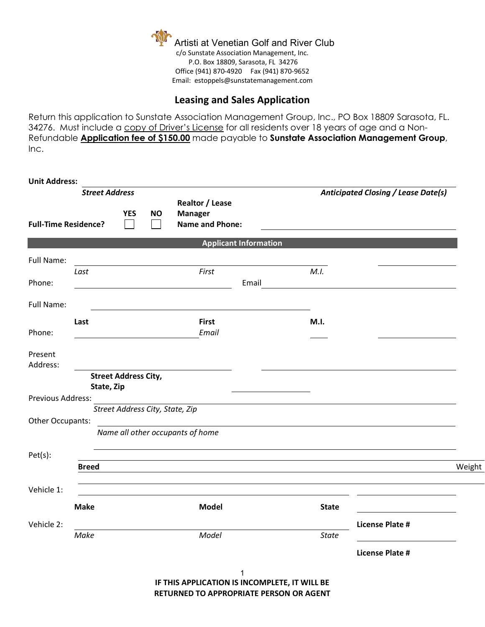

## **Leasing and Sales Application**

Return this application to Sunstate Association Management Group, Inc., PO Box 18809 Sarasota, FL. 34276. Must include a copy of Driver's License for all residents over 18 years of age and a Non-Refundable **Application fee of \$150.00** made payable to **Sunstate Association Management Group**, Inc.

| <b>Unit Address:</b>                                                      |                                           |  |                                                             |                                  |                              |                                            |                        |        |
|---------------------------------------------------------------------------|-------------------------------------------|--|-------------------------------------------------------------|----------------------------------|------------------------------|--------------------------------------------|------------------------|--------|
| <b>Street Address</b><br><b>YES</b><br>NO.<br><b>Full-Time Residence?</b> |                                           |  | Realtor / Lease<br><b>Manager</b><br><b>Name and Phone:</b> |                                  |                              | <b>Anticipated Closing / Lease Date(s)</b> |                        |        |
|                                                                           |                                           |  |                                                             |                                  | <b>Applicant Information</b> |                                            |                        |        |
| Full Name:                                                                |                                           |  |                                                             | First                            |                              | M.I.                                       |                        |        |
| Phone:                                                                    | Last                                      |  |                                                             |                                  | Email                        |                                            |                        |        |
| Full Name:                                                                |                                           |  |                                                             |                                  |                              |                                            |                        |        |
| Phone:                                                                    | Last                                      |  |                                                             | <b>First</b><br>Email            |                              | M.I.                                       |                        |        |
| Present<br>Address:                                                       |                                           |  |                                                             |                                  |                              |                                            |                        |        |
|                                                                           | <b>Street Address City,</b><br>State, Zip |  |                                                             |                                  |                              |                                            |                        |        |
| Previous Address:                                                         |                                           |  |                                                             | Street Address City, State, Zip  |                              |                                            |                        |        |
| Other Occupants:                                                          |                                           |  |                                                             |                                  |                              |                                            |                        |        |
|                                                                           |                                           |  |                                                             | Name all other occupants of home |                              |                                            |                        |        |
| Pet(s):                                                                   |                                           |  |                                                             |                                  |                              |                                            |                        |        |
|                                                                           | <b>Breed</b>                              |  |                                                             |                                  |                              |                                            |                        | Weight |
| Vehicle 1:                                                                |                                           |  |                                                             |                                  |                              |                                            |                        |        |
|                                                                           | <b>Make</b>                               |  |                                                             | <b>Model</b>                     |                              | <b>State</b>                               |                        |        |
| Vehicle 2:                                                                | Make                                      |  |                                                             | Model                            |                              | <b>State</b>                               | <b>License Plate #</b> |        |
|                                                                           |                                           |  |                                                             |                                  |                              |                                            | <b>License Plate #</b> |        |
|                                                                           |                                           |  |                                                             |                                  | 1                            |                                            |                        |        |

**IF THIS APPLICATION IS INCOMPLETE, IT WILL BE RETURNED TO APPROPRIATE PERSON OR AGENT**